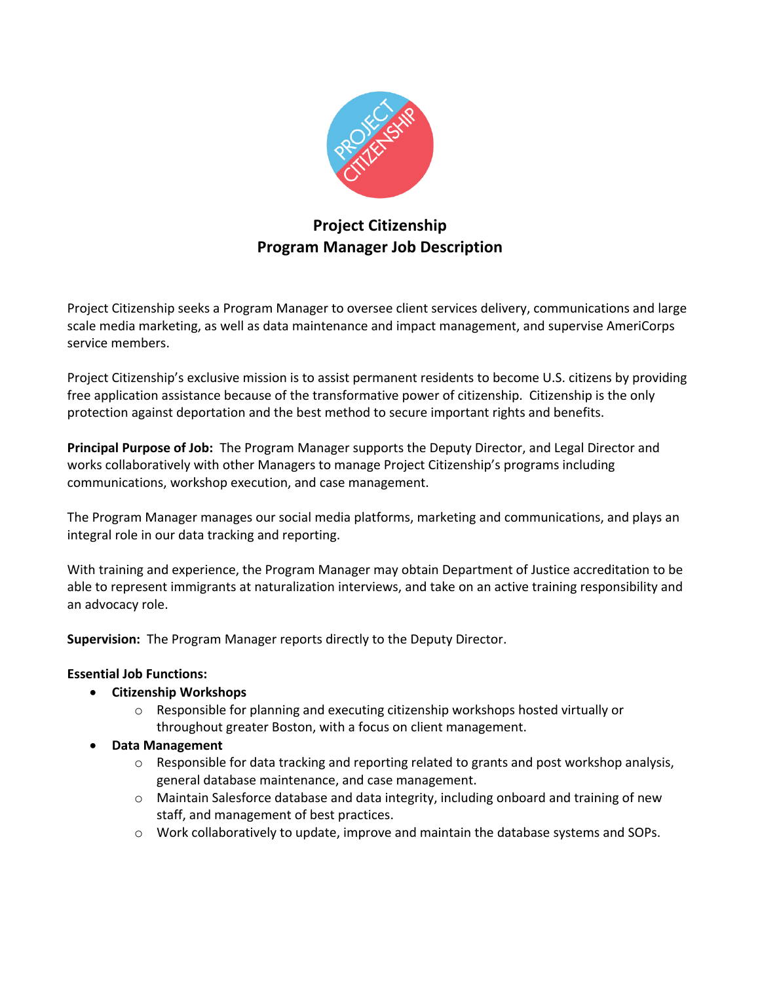

# **Project Citizenship Program Manager Job Description**

Project Citizenship seeks a Program Manager to oversee client services delivery, communications and large scale media marketing, as well as data maintenance and impact management, and supervise AmeriCorps service members.

Project Citizenship's exclusive mission is to assist permanent residents to become U.S. citizens by providing free application assistance because of the transformative power of citizenship. Citizenship is the only protection against deportation and the best method to secure important rights and benefits.

**Principal Purpose of Job:** The Program Manager supports the Deputy Director, and Legal Director and works collaboratively with other Managers to manage Project Citizenship's programs including communications, workshop execution, and case management.

The Program Manager manages our social media platforms, marketing and communications, and plays an integral role in our data tracking and reporting.

With training and experience, the Program Manager may obtain Department of Justice accreditation to be able to represent immigrants at naturalization interviews, and take on an active training responsibility and an advocacy role.

**Supervision:** The Program Manager reports directly to the Deputy Director.

# **Essential Job Functions:**

- **Citizenship Workshops**
	- $\circ$  Responsible for planning and executing citizenship workshops hosted virtually or throughout greater Boston, with a focus on client management.
- **Data Management**
	- $\circ$  Responsible for data tracking and reporting related to grants and post workshop analysis, general database maintenance, and case management.
	- o Maintain Salesforce database and data integrity, including onboard and training of new staff, and management of best practices.
	- $\circ$  Work collaboratively to update, improve and maintain the database systems and SOPs.